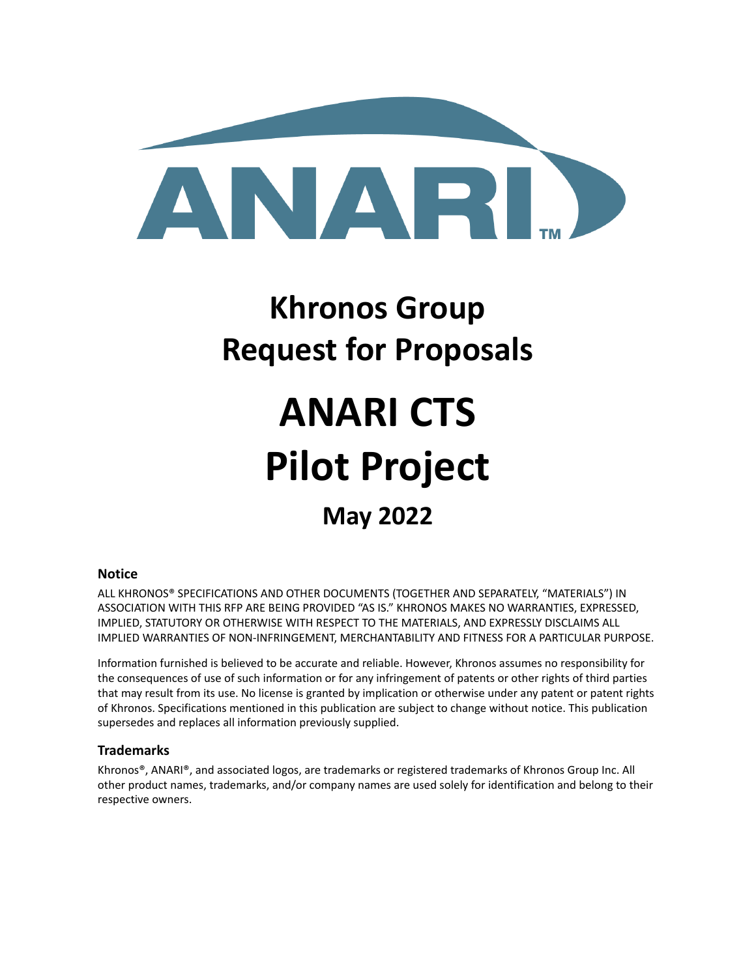

## **Khronos Group Request for Proposals**

# **ANARI CTS Pilot Project**

## **May 2022**

#### **Notice**

ALL KHRONOS® SPECIFICATIONS AND OTHER DOCUMENTS (TOGETHER AND SEPARATELY, "MATERIALS") IN ASSOCIATION WITH THIS RFP ARE BEING PROVIDED "AS IS." KHRONOS MAKES NO WARRANTIES, EXPRESSED, IMPLIED, STATUTORY OR OTHERWISE WITH RESPECT TO THE MATERIALS, AND EXPRESSLY DISCLAIMS ALL IMPLIED WARRANTIES OF NON-INFRINGEMENT, MERCHANTABILITY AND FITNESS FOR A PARTICULAR PURPOSE.

Information furnished is believed to be accurate and reliable. However, Khronos assumes no responsibility for the consequences of use of such information or for any infringement of patents or other rights of third parties that may result from its use. No license is granted by implication or otherwise under any patent or patent rights of Khronos. Specifications mentioned in this publication are subject to change without notice. This publication supersedes and replaces all information previously supplied.

#### **Trademarks**

Khronos®, ANARI®, and associated logos, are trademarks or registered trademarks of Khronos Group Inc. All other product names, trademarks, and/or company names are used solely for identification and belong to their respective owners.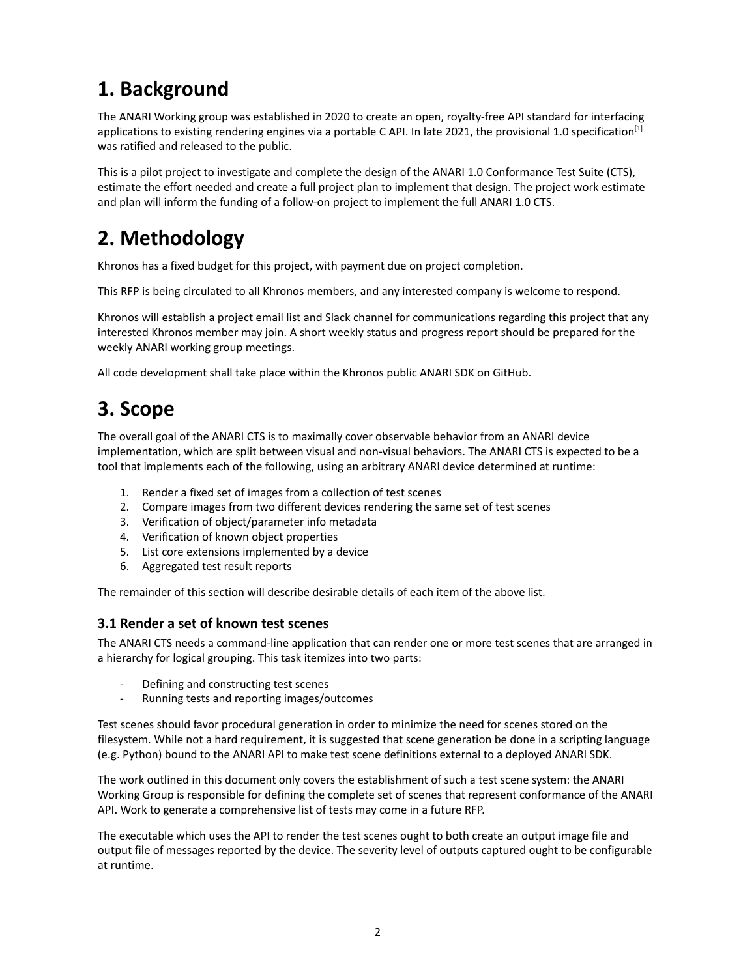## **1. Background**

The ANARI Working group was established in 2020 to create an open, royalty-free API standard for interfacing applications to existing rendering engines via a portable C API. In late 2021, the provisional 1.0 specification<sup>[1]</sup> was ratified and released to the public.

This is a pilot project to investigate and complete the design of the ANARI 1.0 Conformance Test Suite (CTS), estimate the effort needed and create a full project plan to implement that design. The project work estimate and plan will inform the funding of a follow-on project to implement the full ANARI 1.0 CTS.

## **2. Methodology**

Khronos has a fixed budget for this project, with payment due on project completion.

This RFP is being circulated to all Khronos members, and any interested company is welcome to respond.

Khronos will establish a project email list and Slack channel for communications regarding this project that any interested Khronos member may join. A short weekly status and progress report should be prepared for the weekly ANARI working group meetings.

All code development shall take place within the Khronos public ANARI SDK on GitHub.

## **3. Scope**

The overall goal of the ANARI CTS is to maximally cover observable behavior from an ANARI device implementation, which are split between visual and non-visual behaviors. The ANARI CTS is expected to be a tool that implements each of the following, using an arbitrary ANARI device determined at runtime:

- 1. Render a fixed set of images from a collection of test scenes
- 2. Compare images from two different devices rendering the same set of test scenes
- 3. Verification of object/parameter info metadata
- 4. Verification of known object properties
- 5. List core extensions implemented by a device
- 6. Aggregated test result reports

The remainder of this section will describe desirable details of each item of the above list.

#### **3.1 Render a set of known test scenes**

The ANARI CTS needs a command-line application that can render one or more test scenes that are arranged in a hierarchy for logical grouping. This task itemizes into two parts:

- Defining and constructing test scenes
- Running tests and reporting images/outcomes

Test scenes should favor procedural generation in order to minimize the need for scenes stored on the filesystem. While not a hard requirement, it is suggested that scene generation be done in a scripting language (e.g. Python) bound to the ANARI API to make test scene definitions external to a deployed ANARI SDK.

The work outlined in this document only covers the establishment of such a test scene system: the ANARI Working Group is responsible for defining the complete set of scenes that represent conformance of the ANARI API. Work to generate a comprehensive list of tests may come in a future RFP.

The executable which uses the API to render the test scenes ought to both create an output image file and output file of messages reported by the device. The severity level of outputs captured ought to be configurable at runtime.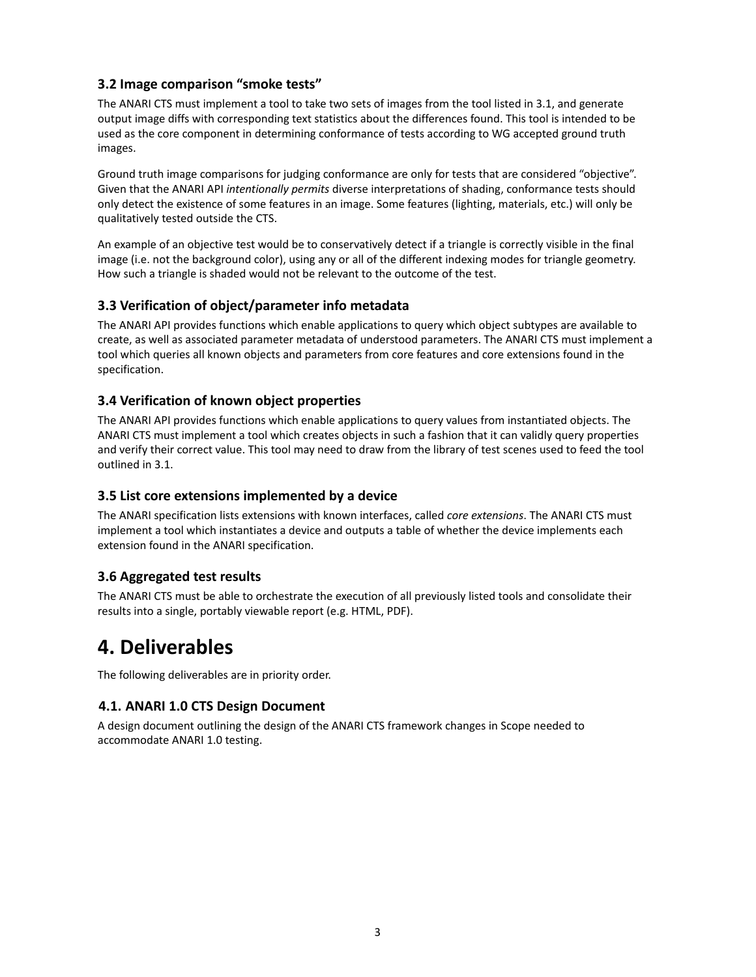#### **3.2 Image comparison "smoke tests"**

The ANARI CTS must implement a tool to take two sets of images from the tool listed in 3.1, and generate output image diffs with corresponding text statistics about the differences found. This tool is intended to be used as the core component in determining conformance of tests according to WG accepted ground truth images.

Ground truth image comparisons for judging conformance are only for tests that are considered "objective". Given that the ANARI API *intentionally permits* diverse interpretations of shading, conformance tests should only detect the existence of some features in an image. Some features (lighting, materials, etc.) will only be qualitatively tested outside the CTS.

An example of an objective test would be to conservatively detect if a triangle is correctly visible in the final image (i.e. not the background color), using any or all of the different indexing modes for triangle geometry. How such a triangle is shaded would not be relevant to the outcome of the test.

#### **3.3 Verification of object/parameter info metadata**

The ANARI API provides functions which enable applications to query which object subtypes are available to create, as well as associated parameter metadata of understood parameters. The ANARI CTS must implement a tool which queries all known objects and parameters from core features and core extensions found in the specification.

#### **3.4 Verification of known object properties**

The ANARI API provides functions which enable applications to query values from instantiated objects. The ANARI CTS must implement a tool which creates objects in such a fashion that it can validly query properties and verify their correct value. This tool may need to draw from the library of test scenes used to feed the tool outlined in 3.1.

#### **3.5 List core extensions implemented by a device**

The ANARI specification lists extensions with known interfaces, called *core extensions*. The ANARI CTS must implement a tool which instantiates a device and outputs a table of whether the device implements each extension found in the ANARI specification.

#### **3.6 Aggregated test results**

The ANARI CTS must be able to orchestrate the execution of all previously listed tools and consolidate their results into a single, portably viewable report (e.g. HTML, PDF).

### **4. Deliverables**

The following deliverables are in priority order.

#### **4.1. ANARI 1.0 CTS Design Document**

A design document outlining the design of the ANARI CTS framework changes in Scope needed to accommodate ANARI 1.0 testing.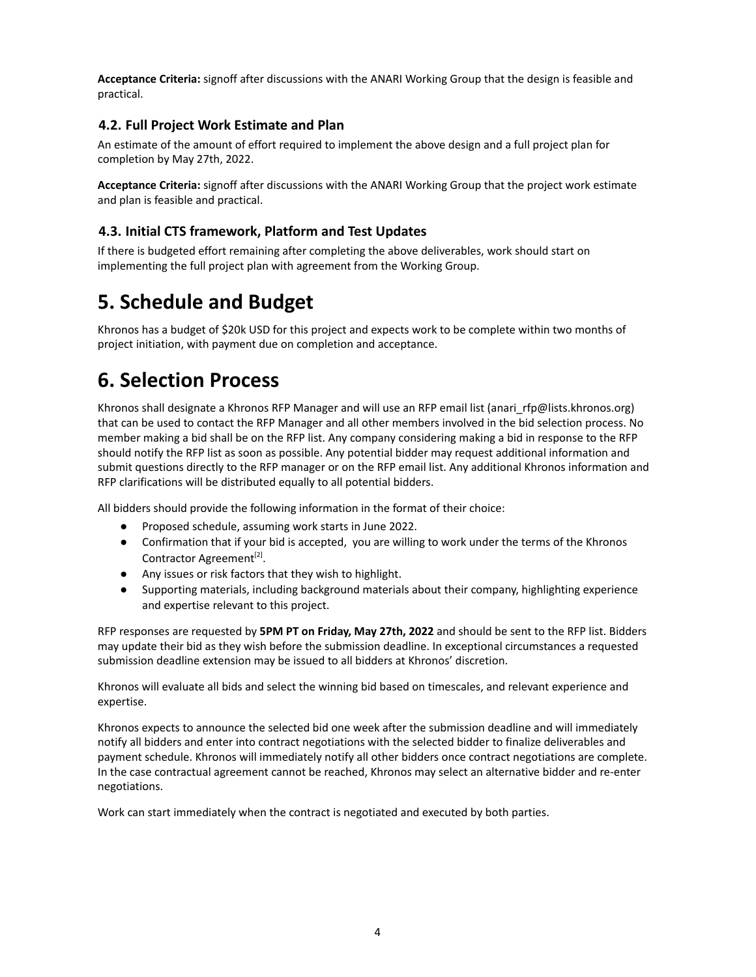**Acceptance Criteria:** signoff after discussions with the ANARI Working Group that the design is feasible and practical.

#### **4.2. Full Project Work Estimate and Plan**

An estimate of the amount of effort required to implement the above design and a full project plan for completion by May 27th, 2022.

**Acceptance Criteria:** signoff after discussions with the ANARI Working Group that the project work estimate and plan is feasible and practical.

#### **4.3. Initial CTS framework, Platform and Test Updates**

If there is budgeted effort remaining after completing the above deliverables, work should start on implementing the full project plan with agreement from the Working Group.

## **5. Schedule and Budget**

Khronos has a budget of \$20k USD for this project and expects work to be complete within two months of project initiation, with payment due on completion and acceptance.

## **6. Selection Process**

Khronos shall designate a Khronos RFP Manager and will use an RFP email list (anari rfp@lists.khronos.org) that can be used to contact the RFP Manager and all other members involved in the bid selection process. No member making a bid shall be on the RFP list. Any company considering making a bid in response to the RFP should notify the RFP list as soon as possible. Any potential bidder may request additional information and submit questions directly to the RFP manager or on the RFP email list. Any additional Khronos information and RFP clarifications will be distributed equally to all potential bidders.

All bidders should provide the following information in the format of their choice:

- Proposed schedule, assuming work starts in June 2022.
- Confirmation that if your bid is accepted, you are willing to work under the terms of the Khronos Contractor Agreement<sup>[2]</sup>.
- Any issues or risk factors that they wish to highlight.
- Supporting materials, including background materials about their company, highlighting experience and expertise relevant to this project.

RFP responses are requested by **5PM PT on Friday, May 27th, 2022** and should be sent to the RFP list. Bidders may update their bid as they wish before the submission deadline. In exceptional circumstances a requested submission deadline extension may be issued to all bidders at Khronos' discretion.

Khronos will evaluate all bids and select the winning bid based on timescales, and relevant experience and expertise.

Khronos expects to announce the selected bid one week after the submission deadline and will immediately notify all bidders and enter into contract negotiations with the selected bidder to finalize deliverables and payment schedule. Khronos will immediately notify all other bidders once contract negotiations are complete. In the case contractual agreement cannot be reached, Khronos may select an alternative bidder and re-enter negotiations.

Work can start immediately when the contract is negotiated and executed by both parties.